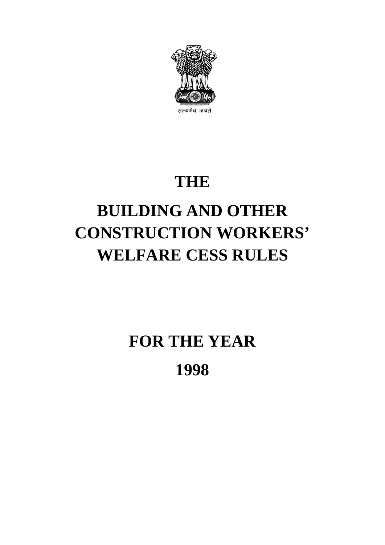

## **THE**

# **BUILDING AND OTHER CONSTRUCTION WORKERS' WELFARE CESS RULES**

**FOR THE YEAR 1998**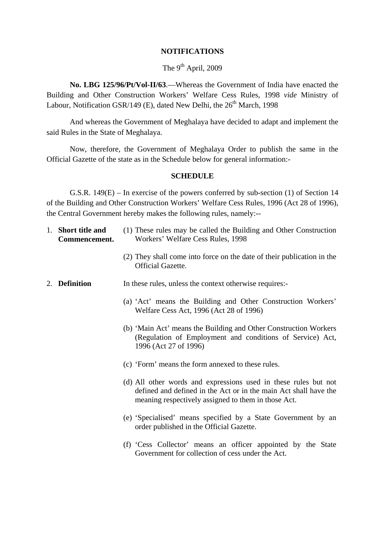#### **NOTIFICATIONS**

#### The  $9^{th}$  April, 2009

**No. LBG 125/96/Pt/Vol-II/63**.—Whereas the Government of India have enacted the Building and Other Construction Workers' Welfare Cess Rules, 1998 *vide* Ministry of Labour, Notification GSR/149 (E), dated New Delhi, the  $26<sup>th</sup>$  March, 1998

And whereas the Government of Meghalaya have decided to adapt and implement the said Rules in the State of Meghalaya.

Now, therefore, the Government of Meghalaya Order to publish the same in the Official Gazette of the state as in the Schedule below for general information:-

#### **SCHEDULE**

G.S.R. 149(E) – In exercise of the powers conferred by sub-section (1) of Section 14 of the Building and Other Construction Workers' Welfare Cess Rules, 1996 (Act 28 of 1996), the Central Government hereby makes the following rules, namely:--

| 1. Short title and<br>Commencement. | (1) These rules may be called the Building and Other Construction<br>Workers' Welfare Cess Rules, 1998                                                                                     |  |
|-------------------------------------|--------------------------------------------------------------------------------------------------------------------------------------------------------------------------------------------|--|
|                                     | (2) They shall come into force on the date of their publication in the<br>Official Gazette.                                                                                                |  |
| 2. Definition                       | In these rules, unless the context otherwise requires:-                                                                                                                                    |  |
|                                     | (a) 'Act' means the Building and Other Construction Workers'<br>Welfare Cess Act, 1996 (Act 28 of 1996)                                                                                    |  |
|                                     | (b) 'Main Act' means the Building and Other Construction Workers<br>(Regulation of Employment and conditions of Service) Act,<br>1996 (Act 27 of 1996)                                     |  |
|                                     | (c) 'Form' means the form annexed to these rules.                                                                                                                                          |  |
|                                     | (d) All other words and expressions used in these rules but not<br>defined and defined in the Act or in the main Act shall have the<br>meaning respectively assigned to them in those Act. |  |
|                                     | (e) 'Specialised' means specified by a State Government by an<br>order published in the Official Gazette.                                                                                  |  |
|                                     | (f) 'Cess Collector' means an officer appointed by the State<br>Government for collection of cess under the Act.                                                                           |  |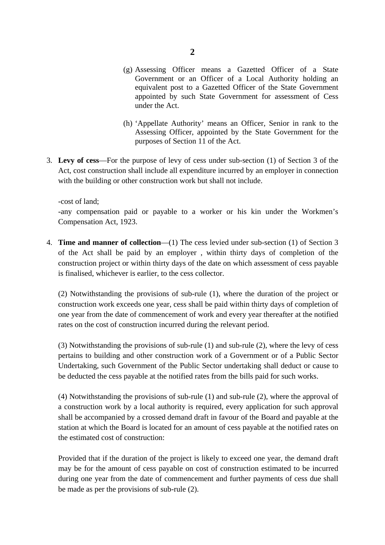- (g) Assessing Officer means a Gazetted Officer of a State Government or an Officer of a Local Authority holding an equivalent post to a Gazetted Officer of the State Government appointed by such State Government for assessment of Cess under the Act.
- (h) 'Appellate Authority' means an Officer, Senior in rank to the Assessing Officer, appointed by the State Government for the purposes of Section 11 of the Act.
- 3. **Levy of cess**—For the purpose of levy of cess under sub-section (1) of Section 3 of the Act, cost construction shall include all expenditure incurred by an employer in connection with the building or other construction work but shall not include.

-cost of land;

-any compensation paid or payable to a worker or his kin under the Workmen's Compensation Act, 1923.

4. **Time and manner of collection**—(1) The cess levied under sub-section (1) of Section 3 of the Act shall be paid by an employer , within thirty days of completion of the construction project or within thirty days of the date on which assessment of cess payable is finalised, whichever is earlier, to the cess collector.

(2) Notwithstanding the provisions of sub-rule (1), where the duration of the project or construction work exceeds one year, cess shall be paid within thirty days of completion of one year from the date of commencement of work and every year thereafter at the notified rates on the cost of construction incurred during the relevant period.

(3) Notwithstanding the provisions of sub-rule (1) and sub-rule (2), where the levy of cess pertains to building and other construction work of a Government or of a Public Sector Undertaking, such Government of the Public Sector undertaking shall deduct or cause to be deducted the cess payable at the notified rates from the bills paid for such works.

(4) Notwithstanding the provisions of sub-rule (1) and sub-rule (2), where the approval of a construction work by a local authority is required, every application for such approval shall be accompanied by a crossed demand draft in favour of the Board and payable at the station at which the Board is located for an amount of cess payable at the notified rates on the estimated cost of construction:

Provided that if the duration of the project is likely to exceed one year, the demand draft may be for the amount of cess payable on cost of construction estimated to be incurred during one year from the date of commencement and further payments of cess due shall be made as per the provisions of sub-rule (2).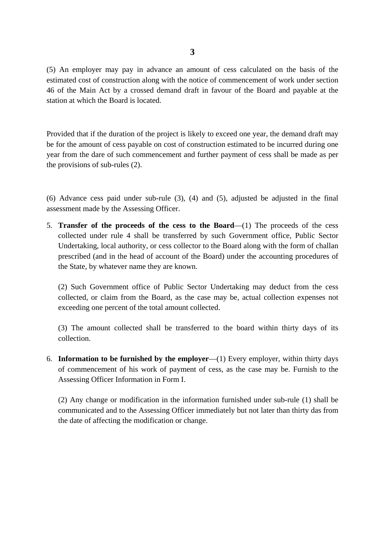(5) An employer may pay in advance an amount of cess calculated on the basis of the estimated cost of construction along with the notice of commencement of work under section 46 of the Main Act by a crossed demand draft in favour of the Board and payable at the station at which the Board is located.

Provided that if the duration of the project is likely to exceed one year, the demand draft may be for the amount of cess payable on cost of construction estimated to be incurred during one year from the dare of such commencement and further payment of cess shall be made as per the provisions of sub-rules (2).

(6) Advance cess paid under sub-rule (3), (4) and (5), adjusted be adjusted in the final assessment made by the Assessing Officer.

5. **Transfer of the proceeds of the cess to the Board**—(1) The proceeds of the cess collected under rule 4 shall be transferred by such Government office, Public Sector Undertaking, local authority, or cess collector to the Board along with the form of challan prescribed (and in the head of account of the Board) under the accounting procedures of the State, by whatever name they are known.

(2) Such Government office of Public Sector Undertaking may deduct from the cess collected, or claim from the Board, as the case may be, actual collection expenses not exceeding one percent of the total amount collected.

(3) The amount collected shall be transferred to the board within thirty days of its collection.

6. **Information to be furnished by the employer**—(1) Every employer, within thirty days of commencement of his work of payment of cess, as the case may be. Furnish to the Assessing Officer Information in Form I.

(2) Any change or modification in the information furnished under sub-rule (1) shall be communicated and to the Assessing Officer immediately but not later than thirty das from the date of affecting the modification or change.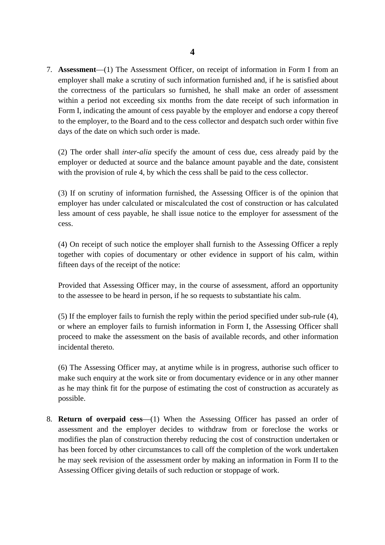7. **Assessment**—(1) The Assessment Officer, on receipt of information in Form I from an employer shall make a scrutiny of such information furnished and, if he is satisfied about the correctness of the particulars so furnished, he shall make an order of assessment within a period not exceeding six months from the date receipt of such information in Form I, indicating the amount of cess payable by the employer and endorse a copy thereof to the employer, to the Board and to the cess collector and despatch such order within five days of the date on which such order is made.

(2) The order shall *inter-alia* specify the amount of cess due, cess already paid by the employer or deducted at source and the balance amount payable and the date, consistent with the provision of rule 4, by which the cess shall be paid to the cess collector.

(3) If on scrutiny of information furnished, the Assessing Officer is of the opinion that employer has under calculated or miscalculated the cost of construction or has calculated less amount of cess payable, he shall issue notice to the employer for assessment of the cess.

(4) On receipt of such notice the employer shall furnish to the Assessing Officer a reply together with copies of documentary or other evidence in support of his calm, within fifteen days of the receipt of the notice:

Provided that Assessing Officer may, in the course of assessment, afford an opportunity to the assessee to be heard in person, if he so requests to substantiate his calm.

(5) If the employer fails to furnish the reply within the period specified under sub-rule (4), or where an employer fails to furnish information in Form I, the Assessing Officer shall proceed to make the assessment on the basis of available records, and other information incidental thereto.

(6) The Assessing Officer may, at anytime while is in progress, authorise such officer to make such enquiry at the work site or from documentary evidence or in any other manner as he may think fit for the purpose of estimating the cost of construction as accurately as possible.

8. **Return of overpaid cess**—(1) When the Assessing Officer has passed an order of assessment and the employer decides to withdraw from or foreclose the works or modifies the plan of construction thereby reducing the cost of construction undertaken or has been forced by other circumstances to call off the completion of the work undertaken he may seek revision of the assessment order by making an information in Form II to the Assessing Officer giving details of such reduction or stoppage of work.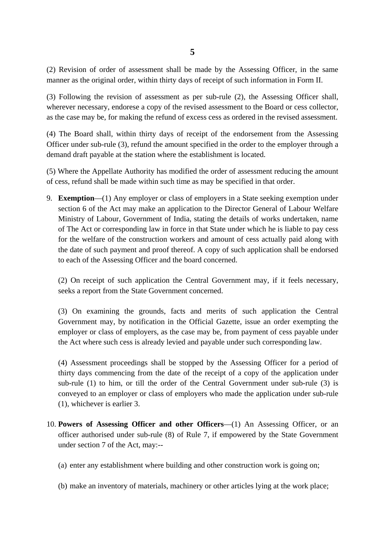(2) Revision of order of assessment shall be made by the Assessing Officer, in the same manner as the original order, within thirty days of receipt of such information in Form II.

(3) Following the revision of assessment as per sub-rule (2), the Assessing Officer shall, wherever necessary, endorese a copy of the revised assessment to the Board or cess collector, as the case may be, for making the refund of excess cess as ordered in the revised assessment.

(4) The Board shall, within thirty days of receipt of the endorsement from the Assessing Officer under sub-rule (3), refund the amount specified in the order to the employer through a demand draft payable at the station where the establishment is located.

(5) Where the Appellate Authority has modified the order of assessment reducing the amount of cess, refund shall be made within such time as may be specified in that order.

9. **Exemption**—(1) Any employer or class of employers in a State seeking exemption under section 6 of the Act may make an application to the Director General of Labour Welfare Ministry of Labour, Government of India, stating the details of works undertaken, name of The Act or corresponding law in force in that State under which he is liable to pay cess for the welfare of the construction workers and amount of cess actually paid along with the date of such payment and proof thereof. A copy of such application shall be endorsed to each of the Assessing Officer and the board concerned.

(2) On receipt of such application the Central Government may, if it feels necessary, seeks a report from the State Government concerned.

(3) On examining the grounds, facts and merits of such application the Central Government may, by notification in the Official Gazette, issue an order exempting the employer or class of employers, as the case may be, from payment of cess payable under the Act where such cess is already levied and payable under such corresponding law.

(4) Assessment proceedings shall be stopped by the Assessing Officer for a period of thirty days commencing from the date of the receipt of a copy of the application under sub-rule (1) to him, or till the order of the Central Government under sub-rule (3) is conveyed to an employer or class of employers who made the application under sub-rule (1), whichever is earlier 3.

- 10. **Powers of Assessing Officer and other Officers**—(1) An Assessing Officer, or an officer authorised under sub-rule (8) of Rule 7, if empowered by the State Government under section 7 of the Act, may:--
	- (a) enter any establishment where building and other construction work is going on;
	- (b) make an inventory of materials, machinery or other articles lying at the work place;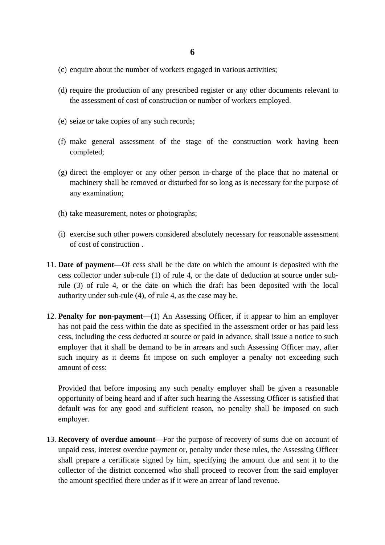- (c) enquire about the number of workers engaged in various activities;
- (d) require the production of any prescribed register or any other documents relevant to the assessment of cost of construction or number of workers employed.
- (e) seize or take copies of any such records;
- (f) make general assessment of the stage of the construction work having been completed;
- (g) direct the employer or any other person in-charge of the place that no material or machinery shall be removed or disturbed for so long as is necessary for the purpose of any examination;
- (h) take measurement, notes or photographs;
- (i) exercise such other powers considered absolutely necessary for reasonable assessment of cost of construction .
- 11. **Date of payment**—Of cess shall be the date on which the amount is deposited with the cess collector under sub-rule (1) of rule 4, or the date of deduction at source under subrule (3) of rule 4, or the date on which the draft has been deposited with the local authority under sub-rule (4), of rule 4, as the case may be.
- 12. **Penalty for non-payment**—(1) An Assessing Officer, if it appear to him an employer has not paid the cess within the date as specified in the assessment order or has paid less cess, including the cess deducted at source or paid in advance, shall issue a notice to such employer that it shall be demand to be in arrears and such Assessing Officer may, after such inquiry as it deems fit impose on such employer a penalty not exceeding such amount of cess:

Provided that before imposing any such penalty employer shall be given a reasonable opportunity of being heard and if after such hearing the Assessing Officer is satisfied that default was for any good and sufficient reason, no penalty shall be imposed on such employer.

13. **Recovery of overdue amount**—For the purpose of recovery of sums due on account of unpaid cess, interest overdue payment or, penalty under these rules, the Assessing Officer shall prepare a certificate signed by him, specifying the amount due and sent it to the collector of the district concerned who shall proceed to recover from the said employer the amount specified there under as if it were an arrear of land revenue.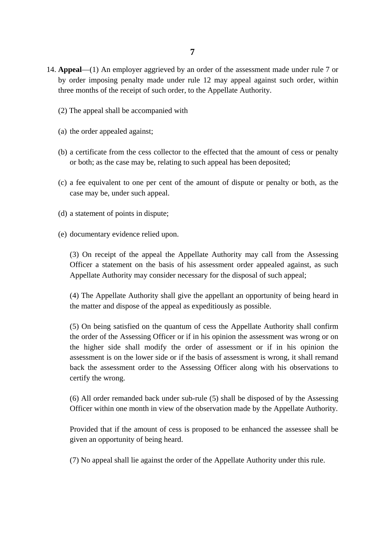- 14. **Appeal**—(1) An employer aggrieved by an order of the assessment made under rule 7 or by order imposing penalty made under rule 12 may appeal against such order, within three months of the receipt of such order, to the Appellate Authority.
	- (2) The appeal shall be accompanied with
	- (a) the order appealed against;
	- (b) a certificate from the cess collector to the effected that the amount of cess or penalty or both; as the case may be, relating to such appeal has been deposited;
	- (c) a fee equivalent to one per cent of the amount of dispute or penalty or both, as the case may be, under such appeal.
	- (d) a statement of points in dispute;
	- (e) documentary evidence relied upon.

(3) On receipt of the appeal the Appellate Authority may call from the Assessing Officer a statement on the basis of his assessment order appealed against, as such Appellate Authority may consider necessary for the disposal of such appeal;

(4) The Appellate Authority shall give the appellant an opportunity of being heard in the matter and dispose of the appeal as expeditiously as possible.

(5) On being satisfied on the quantum of cess the Appellate Authority shall confirm the order of the Assessing Officer or if in his opinion the assessment was wrong or on the higher side shall modify the order of assessment or if in his opinion the assessment is on the lower side or if the basis of assessment is wrong, it shall remand back the assessment order to the Assessing Officer along with his observations to certify the wrong.

(6) All order remanded back under sub-rule (5) shall be disposed of by the Assessing Officer within one month in view of the observation made by the Appellate Authority.

Provided that if the amount of cess is proposed to be enhanced the assessee shall be given an opportunity of being heard.

(7) No appeal shall lie against the order of the Appellate Authority under this rule.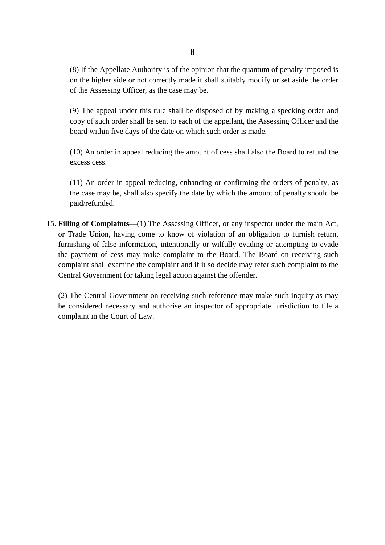(8) If the Appellate Authority is of the opinion that the quantum of penalty imposed is on the higher side or not correctly made it shall suitably modify or set aside the order of the Assessing Officer, as the case may be.

(9) The appeal under this rule shall be disposed of by making a specking order and copy of such order shall be sent to each of the appellant, the Assessing Officer and the board within five days of the date on which such order is made.

(10) An order in appeal reducing the amount of cess shall also the Board to refund the excess cess.

(11) An order in appeal reducing, enhancing or confirming the orders of penalty, as the case may be, shall also specify the date by which the amount of penalty should be paid/refunded.

15. **Filling of Complaints**—(1) The Assessing Officer, or any inspector under the main Act, or Trade Union, having come to know of violation of an obligation to furnish return, furnishing of false information, intentionally or wilfully evading or attempting to evade the payment of cess may make complaint to the Board. The Board on receiving such complaint shall examine the complaint and if it so decide may refer such complaint to the Central Government for taking legal action against the offender.

(2) The Central Government on receiving such reference may make such inquiry as may be considered necessary and authorise an inspector of appropriate jurisdiction to file a complaint in the Court of Law.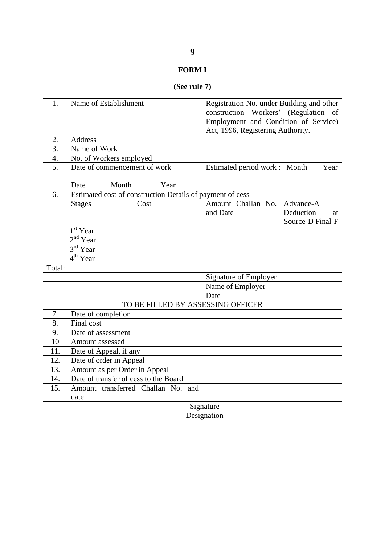#### **FORM I**

## **(See rule 7)**

| 1.               | Name of Establishment                                     |      |                                      | Registration No. under Building and other |  |
|------------------|-----------------------------------------------------------|------|--------------------------------------|-------------------------------------------|--|
|                  |                                                           |      |                                      | construction Workers' (Regulation of      |  |
|                  |                                                           |      | Employment and Condition of Service) |                                           |  |
|                  |                                                           |      | Act, 1996, Registering Authority.    |                                           |  |
| 2.               | Address                                                   |      |                                      |                                           |  |
| $\overline{3}$ . | Name of Work                                              |      |                                      |                                           |  |
| $\overline{4}$ . | No. of Workers employed                                   |      |                                      |                                           |  |
| 5.               | Date of commencement of work                              |      | Estimated period work : Month        | Year                                      |  |
|                  | Month<br>Date                                             | Year |                                      |                                           |  |
| 6.               | Estimated cost of construction Details of payment of cess |      |                                      |                                           |  |
|                  | <b>Stages</b>                                             | Cost | Amount Challan No.                   | Advance-A                                 |  |
|                  |                                                           |      | and Date                             | Deduction<br>at                           |  |
|                  |                                                           |      |                                      | Source-D Final-F                          |  |
|                  | $\overline{1^{st}}$ Year                                  |      |                                      |                                           |  |
|                  | 2 <sup>nd</sup> Year                                      |      |                                      |                                           |  |
|                  | 3 <sup>rd</sup> Year                                      |      |                                      |                                           |  |
|                  | $4th$ Year                                                |      |                                      |                                           |  |
| Total:           |                                                           |      |                                      |                                           |  |
|                  |                                                           |      | Signature of Employer                |                                           |  |
|                  |                                                           |      | Name of Employer                     |                                           |  |
|                  |                                                           |      | Date                                 |                                           |  |
|                  |                                                           |      | TO BE FILLED BY ASSESSING OFFICER    |                                           |  |
| 7.               | Date of completion                                        |      |                                      |                                           |  |
| 8.               | Final cost                                                |      |                                      |                                           |  |
| 9.               | Date of assessment                                        |      |                                      |                                           |  |
| 10               | Amount assessed                                           |      |                                      |                                           |  |
| 11.              | Date of Appeal, if any                                    |      |                                      |                                           |  |
| 12.              | Date of order in Appeal                                   |      |                                      |                                           |  |
| 13.              | Amount as per Order in Appeal                             |      |                                      |                                           |  |
| 14.              | Date of transfer of cess to the Board                     |      |                                      |                                           |  |
| 15.              | Amount transferred Challan No. and<br>date                |      |                                      |                                           |  |
|                  | Signature                                                 |      |                                      |                                           |  |
|                  | Designation                                               |      |                                      |                                           |  |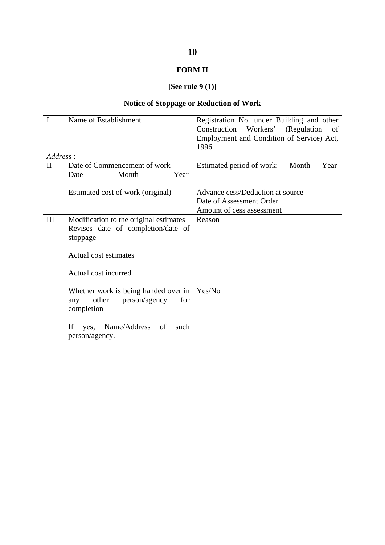#### **FORM II**

## **[See rule 9 (1)]**

#### **Notice of Stoppage or Reduction of Work**

| $\mathbf I$  | Name of Establishment                                                                      | Registration No. under Building and other         |
|--------------|--------------------------------------------------------------------------------------------|---------------------------------------------------|
|              |                                                                                            | Construction Workers' (Regulation<br>- of         |
|              |                                                                                            | Employment and Condition of Service) Act,<br>1996 |
| Address:     |                                                                                            |                                                   |
| $\mathbf{I}$ | Date of Commencement of work                                                               | Estimated period of work:<br><b>Month</b><br>Year |
|              | Month<br><u>Year</u><br>Date                                                               |                                                   |
|              | Estimated cost of work (original)                                                          | Advance cess/Deduction at source                  |
|              |                                                                                            | Date of Assessment Order                          |
|              |                                                                                            | Amount of cess assessment                         |
| III          | Modification to the original estimates                                                     | Reason                                            |
|              | Revises date of completion/date of                                                         |                                                   |
|              | stoppage                                                                                   |                                                   |
|              | Actual cost estimates                                                                      |                                                   |
|              | Actual cost incurred                                                                       |                                                   |
|              | Whether work is being handed over in<br>person/agency<br>other<br>for<br>any<br>completion | Yes/No                                            |
|              | If<br>Name/Address of<br>such<br>yes,<br>person/agency.                                    |                                                   |